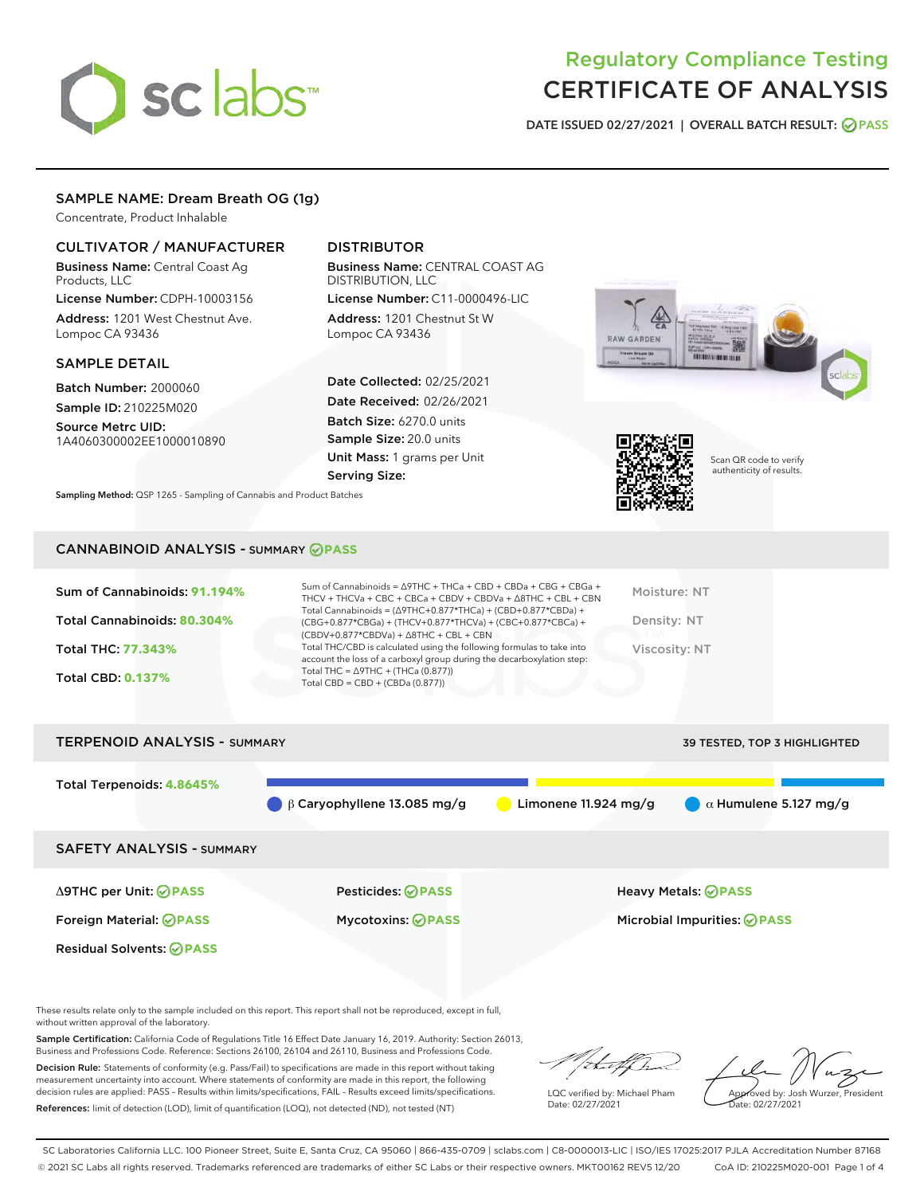# sclabs<sup>\*</sup>

# Regulatory Compliance Testing CERTIFICATE OF ANALYSIS

DATE ISSUED 02/27/2021 | OVERALL BATCH RESULT: @ PASS

# SAMPLE NAME: Dream Breath OG (1g)

Concentrate, Product Inhalable

# CULTIVATOR / MANUFACTURER

Business Name: Central Coast Ag Products, LLC

License Number: CDPH-10003156 Address: 1201 West Chestnut Ave. Lompoc CA 93436

#### SAMPLE DETAIL

Batch Number: 2000060 Sample ID: 210225M020

Source Metrc UID: 1A4060300002EE1000010890

# DISTRIBUTOR

Business Name: CENTRAL COAST AG DISTRIBUTION, LLC

License Number: C11-0000496-LIC Address: 1201 Chestnut St W Lompoc CA 93436

Date Collected: 02/25/2021 Date Received: 02/26/2021 Batch Size: 6270.0 units Sample Size: 20.0 units Unit Mass: 1 grams per Unit Serving Size:





Scan QR code to verify authenticity of results.

Sampling Method: QSP 1265 - Sampling of Cannabis and Product Batches

#### CANNABINOID ANALYSIS - SUMMARY **PASS**

| Sum of Cannabinoids: 91.194%<br>Total Cannabinoids: 80.304%<br>Total THC: 77.343%<br><b>Total CBD: 0.137%</b> | Sum of Cannabinoids = $\triangle$ 9THC + THCa + CBD + CBDa + CBG + CBGa +<br>THCV + THCVa + CBC + CBCa + CBDV + CBDVa + A8THC + CBL + CBN<br>Total Cannabinoids = $(\Delta$ 9THC+0.877*THCa) + (CBD+0.877*CBDa) +<br>(CBG+0.877*CBGa) + (THCV+0.877*THCVa) + (CBC+0.877*CBCa) +<br>$(CBDV+0.877*CBDVa) + \Delta 8THC + CBL + CBN$<br>Total THC/CBD is calculated using the following formulas to take into<br>account the loss of a carboxyl group during the decarboxylation step:<br>Total THC = $\triangle$ 9THC + (THCa (0.877))<br>Total CBD = $CBD + (CBDa (0.877))$ | Moisture: NT<br>Density: NT<br><b>Viscosity: NT</b> |
|---------------------------------------------------------------------------------------------------------------|----------------------------------------------------------------------------------------------------------------------------------------------------------------------------------------------------------------------------------------------------------------------------------------------------------------------------------------------------------------------------------------------------------------------------------------------------------------------------------------------------------------------------------------------------------------------------|-----------------------------------------------------|
| <b>TERPENOID ANALYSIS - SUMMARY</b>                                                                           |                                                                                                                                                                                                                                                                                                                                                                                                                                                                                                                                                                            | 39 TESTED, TOP 3 HIGHLIGHTED                        |

Total Terpenoids: **4.8645% β Caryophyllene 13.085 mg/g a Limonene 11.924 mg/g a**  $\alpha$  **Humulene 5.127 mg/g** SAFETY ANALYSIS - SUMMARY Δ9THC per Unit: **PASS** Pesticides: **PASS** Heavy Metals: **PASS** Foreign Material: **PASS** Mycotoxins: **PASS** Microbial Impurities: **PASS** Residual Solvents: **PASS** 

These results relate only to the sample included on this report. This report shall not be reproduced, except in full, without written approval of the laboratory.

Sample Certification: California Code of Regulations Title 16 Effect Date January 16, 2019. Authority: Section 26013, Business and Professions Code. Reference: Sections 26100, 26104 and 26110, Business and Professions Code.

Decision Rule: Statements of conformity (e.g. Pass/Fail) to specifications are made in this report without taking measurement uncertainty into account. Where statements of conformity are made in this report, the following decision rules are applied: PASS – Results within limits/specifications, FAIL – Results exceed limits/specifications. References: limit of detection (LOD), limit of quantification (LOQ), not detected (ND), not tested (NT)

that f

LQC verified by: Michael Pham Date: 02/27/2021

Approved by: Josh Wurzer, President ate: 02/27/2021

SC Laboratories California LLC. 100 Pioneer Street, Suite E, Santa Cruz, CA 95060 | 866-435-0709 | sclabs.com | C8-0000013-LIC | ISO/IES 17025:2017 PJLA Accreditation Number 87168

© 2021 SC Labs all rights reserved. Trademarks referenced are trademarks of either SC Labs or their respective owners. MKT00162 REV5 12/20 CoA ID: 210225M020-001 Page 1 of 4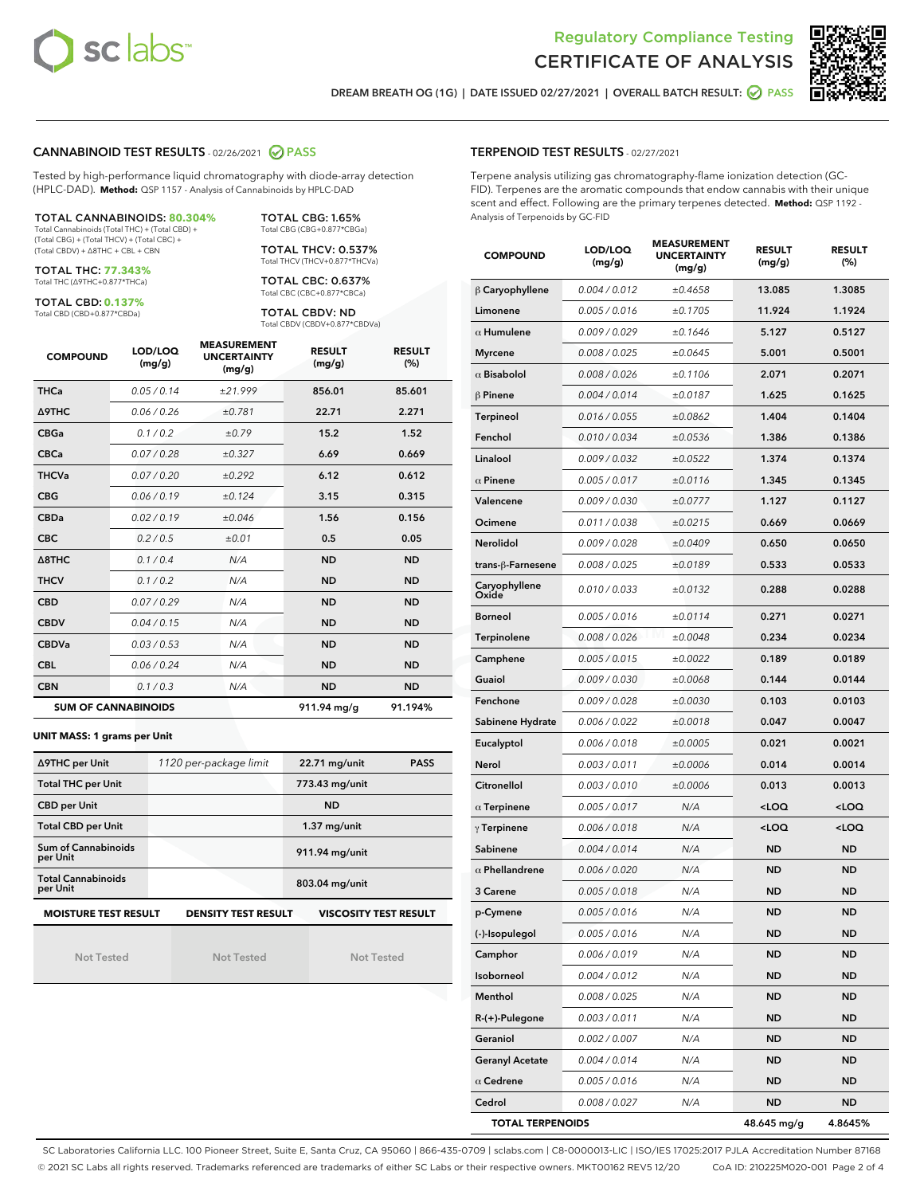



DREAM BREATH OG (1G) | DATE ISSUED 02/27/2021 | OVERALL BATCH RESULT: **○** PASS

#### CANNABINOID TEST RESULTS - 02/26/2021 2 PASS

Tested by high-performance liquid chromatography with diode-array detection (HPLC-DAD). **Method:** QSP 1157 - Analysis of Cannabinoids by HPLC-DAD

TOTAL CANNABINOIDS: **80.304%** Total Cannabinoids (Total THC) + (Total CBD) +

(Total CBG) + (Total THCV) + (Total CBC) + (Total CBDV) + ∆8THC + CBL + CBN

TOTAL THC: **77.343%** Total THC (∆9THC+0.877\*THCa)

TOTAL CBD: **0.137%**

Total CBD (CBD+0.877\*CBDa)

TOTAL CBG: 1.65% Total CBG (CBG+0.877\*CBGa)

TOTAL THCV: 0.537% Total THCV (THCV+0.877\*THCVa)

TOTAL CBC: 0.637% Total CBC (CBC+0.877\*CBCa)

TOTAL CBDV: ND Total CBDV (CBDV+0.877\*CBDVa)

| <b>COMPOUND</b>  | LOD/LOQ<br>(mg/g)          | <b>MEASUREMENT</b><br><b>UNCERTAINTY</b><br>(mg/g) | <b>RESULT</b><br>(mg/g) | <b>RESULT</b><br>(%) |
|------------------|----------------------------|----------------------------------------------------|-------------------------|----------------------|
| <b>THCa</b>      | 0.05/0.14                  | ±21.999                                            | 856.01                  | 85.601               |
| <b>A9THC</b>     | 0.06 / 0.26                | ±0.781                                             | 22.71                   | 2.271                |
| <b>CBGa</b>      | 0.1/0.2                    | ±0.79                                              | 15.2                    | 1.52                 |
| <b>CBCa</b>      | 0.07 / 0.28                | ±0.327                                             | 6.69                    | 0.669                |
| <b>THCVa</b>     | 0.07/0.20                  | ±0.292                                             | 6.12                    | 0.612                |
| <b>CBG</b>       | 0.06/0.19                  | ±0.124                                             | 3.15                    | 0.315                |
| <b>CBDa</b>      | 0.02/0.19                  | ±0.046                                             | 1.56                    | 0.156                |
| <b>CBC</b>       | 0.2 / 0.5                  | ±0.01                                              | 0.5                     | 0.05                 |
| $\triangle$ 8THC | 0.1/0.4                    | N/A                                                | <b>ND</b>               | <b>ND</b>            |
| <b>THCV</b>      | 0.1/0.2                    | N/A                                                | <b>ND</b>               | <b>ND</b>            |
| <b>CBD</b>       | 0.07/0.29                  | N/A                                                | <b>ND</b>               | <b>ND</b>            |
| <b>CBDV</b>      | 0.04 / 0.15                | N/A                                                | <b>ND</b>               | <b>ND</b>            |
| <b>CBDVa</b>     | 0.03/0.53                  | N/A                                                | <b>ND</b>               | <b>ND</b>            |
| <b>CBL</b>       | 0.06 / 0.24                | N/A                                                | <b>ND</b>               | <b>ND</b>            |
| <b>CBN</b>       | 0.1/0.3                    | N/A                                                | <b>ND</b>               | <b>ND</b>            |
|                  | <b>SUM OF CANNABINOIDS</b> |                                                    | 911.94 mg/g             | 91.194%              |

#### **UNIT MASS: 1 grams per Unit**

| ∆9THC per Unit                        | 1120 per-package limit     | 22.71 mg/unit                | <b>PASS</b> |
|---------------------------------------|----------------------------|------------------------------|-------------|
| <b>Total THC per Unit</b>             |                            | 773.43 mg/unit               |             |
| <b>CBD per Unit</b>                   |                            | <b>ND</b>                    |             |
| <b>Total CBD per Unit</b>             |                            | $1.37$ mg/unit               |             |
| Sum of Cannabinoids<br>per Unit       |                            | 911.94 mg/unit               |             |
| <b>Total Cannabinoids</b><br>per Unit |                            | 803.04 mg/unit               |             |
| <b>MOISTURE TEST RESULT</b>           | <b>DENSITY TEST RESULT</b> | <b>VISCOSITY TEST RESULT</b> |             |

Not Tested

Not Tested

Not Tested

#### TERPENOID TEST RESULTS - 02/27/2021

Terpene analysis utilizing gas chromatography-flame ionization detection (GC-FID). Terpenes are the aromatic compounds that endow cannabis with their unique scent and effect. Following are the primary terpenes detected. **Method:** QSP 1192 - Analysis of Terpenoids by GC-FID

| <b>COMPOUND</b>         | LOD/LOQ<br>(mg/g) | <b>MEASUREMENT</b><br><b>UNCERTAINTY</b><br>(mg/g) | <b>RESULT</b><br>(mg/g)                         | <b>RESULT</b><br>$(\%)$ |
|-------------------------|-------------------|----------------------------------------------------|-------------------------------------------------|-------------------------|
| $\beta$ Caryophyllene   | 0.004 / 0.012     | ±0.4658                                            | 13.085                                          | 1.3085                  |
| Limonene                | 0.005 / 0.016     | ±0.1705                                            | 11.924                                          | 1.1924                  |
| $\alpha$ Humulene       | 0.009/0.029       | ±0.1646                                            | 5.127                                           | 0.5127                  |
| <b>Myrcene</b>          | 0.008 / 0.025     | ±0.0645                                            | 5.001                                           | 0.5001                  |
| $\alpha$ Bisabolol      | 0.008 / 0.026     | ±0.1106                                            | 2.071                                           | 0.2071                  |
| <b>B</b> Pinene         | 0.004 / 0.014     | ±0.0187                                            | 1.625                                           | 0.1625                  |
| Terpineol               | 0.016 / 0.055     | ±0.0862                                            | 1.404                                           | 0.1404                  |
| Fenchol                 | 0.010 / 0.034     | ±0.0536                                            | 1.386                                           | 0.1386                  |
| Linalool                | 0.009 / 0.032     | ±0.0522                                            | 1.374                                           | 0.1374                  |
| $\alpha$ Pinene         | 0.005 / 0.017     | ±0.0116                                            | 1.345                                           | 0.1345                  |
| Valencene               | 0.009 / 0.030     | ±0.0777                                            | 1.127                                           | 0.1127                  |
| Ocimene                 | 0.011 / 0.038     | ±0.0215                                            | 0.669                                           | 0.0669                  |
| Nerolidol               | 0.009 / 0.028     | ±0.0409                                            | 0.650                                           | 0.0650                  |
| trans-β-Farnesene       | 0.008 / 0.025     | ±0.0189                                            | 0.533                                           | 0.0533                  |
| Caryophyllene<br>Oxide  | 0.010 / 0.033     | ±0.0132                                            | 0.288                                           | 0.0288                  |
| <b>Borneol</b>          | 0.005 / 0.016     | ±0.0114                                            | 0.271                                           | 0.0271                  |
| Terpinolene             | 0.008 / 0.026     | ±0.0048                                            | 0.234                                           | 0.0234                  |
| Camphene                | 0.005 / 0.015     | ±0.0022                                            | 0.189                                           | 0.0189                  |
| Guaiol                  | 0.009 / 0.030     | ±0.0068                                            | 0.144                                           | 0.0144                  |
| Fenchone                | 0.009 / 0.028     | ±0.0030                                            | 0.103                                           | 0.0103                  |
| Sabinene Hydrate        | 0.006 / 0.022     | ±0.0018                                            | 0.047                                           | 0.0047                  |
| Eucalyptol              | 0.006 / 0.018     | ±0.0005                                            | 0.021                                           | 0.0021                  |
| Nerol                   | 0.003 / 0.011     | ±0.0006                                            | 0.014                                           | 0.0014                  |
| Citronellol             | 0.003 / 0.010     | ±0.0006                                            | 0.013                                           | 0.0013                  |
| $\alpha$ Terpinene      | 0.005 / 0.017     | N/A                                                | <loq< th=""><th><loq< th=""></loq<></th></loq<> | <loq< th=""></loq<>     |
| $\gamma$ Terpinene      | 0.006 / 0.018     | N/A                                                | <loq< th=""><th><loq< th=""></loq<></th></loq<> | <loq< th=""></loq<>     |
| Sabinene                | 0.004 / 0.014     | N/A                                                | <b>ND</b>                                       | <b>ND</b>               |
| $\alpha$ Phellandrene   | 0.006 / 0.020     | N/A                                                | <b>ND</b>                                       | <b>ND</b>               |
| 3 Carene                | 0.005 / 0.018     | N/A                                                | <b>ND</b>                                       | <b>ND</b>               |
| p-Cymene                | 0.005 / 0.016     | N/A                                                | <b>ND</b>                                       | ND                      |
| (-)-Isopulegol          | 0.005 / 0.016     | N/A                                                | ND                                              | ND                      |
| Camphor                 | 0.006 / 0.019     | N/A                                                | ND                                              | <b>ND</b>               |
| Isoborneol              | 0.004 / 0.012     | N/A                                                | ND                                              | ND                      |
| Menthol                 | 0.008 / 0.025     | N/A                                                | <b>ND</b>                                       | <b>ND</b>               |
| R-(+)-Pulegone          | 0.003 / 0.011     | N/A                                                | ND                                              | ND                      |
| Geraniol                | 0.002 / 0.007     | N/A                                                | ND                                              | ND                      |
| <b>Geranyl Acetate</b>  | 0.004 / 0.014     | N/A                                                | ND                                              | <b>ND</b>               |
| $\alpha$ Cedrene        | 0.005 / 0.016     | N/A                                                | ND                                              | <b>ND</b>               |
| Cedrol                  | 0.008 / 0.027     | N/A                                                | ND                                              | ND                      |
| <b>TOTAL TERPENOIDS</b> |                   |                                                    | 48.645 mg/g                                     | 4.8645%                 |

SC Laboratories California LLC. 100 Pioneer Street, Suite E, Santa Cruz, CA 95060 | 866-435-0709 | sclabs.com | C8-0000013-LIC | ISO/IES 17025:2017 PJLA Accreditation Number 87168 © 2021 SC Labs all rights reserved. Trademarks referenced are trademarks of either SC Labs or their respective owners. MKT00162 REV5 12/20 CoA ID: 210225M020-001 Page 2 of 4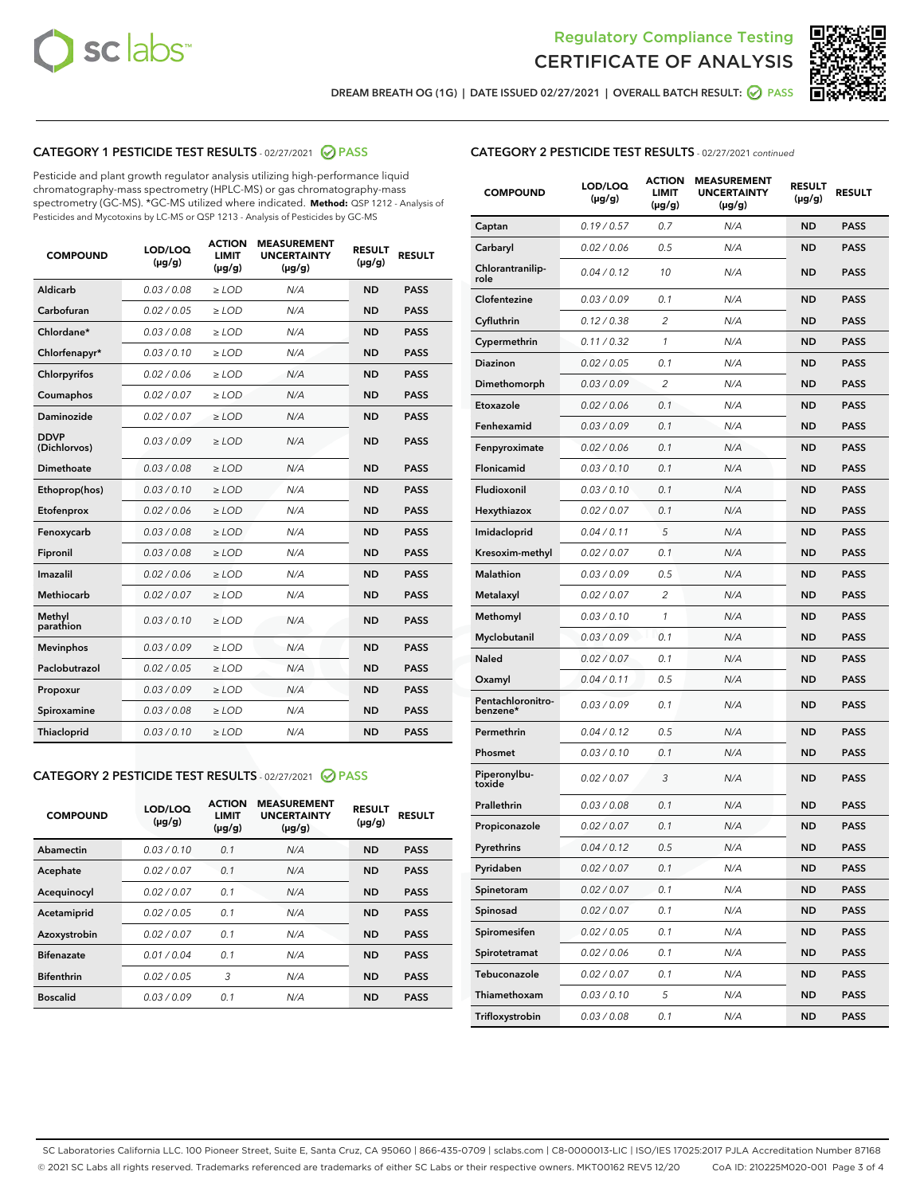



DREAM BREATH OG (1G) | DATE ISSUED 02/27/2021 | OVERALL BATCH RESULT: ☑ PASS

# CATEGORY 1 PESTICIDE TEST RESULTS - 02/27/2021 2 PASS

Pesticide and plant growth regulator analysis utilizing high-performance liquid chromatography-mass spectrometry (HPLC-MS) or gas chromatography-mass spectrometry (GC-MS). \*GC-MS utilized where indicated. **Method:** QSP 1212 - Analysis of Pesticides and Mycotoxins by LC-MS or QSP 1213 - Analysis of Pesticides by GC-MS

| <b>COMPOUND</b>             | LOD/LOQ<br>$(\mu g/g)$ | <b>ACTION</b><br><b>LIMIT</b><br>$(\mu g/g)$ | <b>MEASUREMENT</b><br><b>UNCERTAINTY</b><br>$(\mu g/g)$ | <b>RESULT</b><br>$(\mu g/g)$ | <b>RESULT</b> |
|-----------------------------|------------------------|----------------------------------------------|---------------------------------------------------------|------------------------------|---------------|
| Aldicarb                    | 0.03 / 0.08            | $\ge$ LOD                                    | N/A                                                     | <b>ND</b>                    | <b>PASS</b>   |
| Carbofuran                  | 0.02/0.05              | $>$ LOD                                      | N/A                                                     | <b>ND</b>                    | <b>PASS</b>   |
| Chlordane*                  | 0.03 / 0.08            | $\ge$ LOD                                    | N/A                                                     | <b>ND</b>                    | <b>PASS</b>   |
| Chlorfenapyr*               | 0.03/0.10              | $\ge$ LOD                                    | N/A                                                     | <b>ND</b>                    | <b>PASS</b>   |
| Chlorpyrifos                | 0.02 / 0.06            | $\ge$ LOD                                    | N/A                                                     | <b>ND</b>                    | <b>PASS</b>   |
| Coumaphos                   | 0.02/0.07              | $>$ LOD                                      | N/A                                                     | <b>ND</b>                    | <b>PASS</b>   |
| <b>Daminozide</b>           | 0.02 / 0.07            | $\ge$ LOD                                    | N/A                                                     | <b>ND</b>                    | <b>PASS</b>   |
| <b>DDVP</b><br>(Dichlorvos) | 0.03/0.09              | $\ge$ LOD                                    | N/A                                                     | <b>ND</b>                    | <b>PASS</b>   |
| <b>Dimethoate</b>           | 0.03/0.08              | $\ge$ LOD                                    | N/A                                                     | <b>ND</b>                    | <b>PASS</b>   |
| Ethoprop(hos)               | 0.03/0.10              | $\ge$ LOD                                    | N/A                                                     | <b>ND</b>                    | <b>PASS</b>   |
| Etofenprox                  | 0.02 / 0.06            | $>$ LOD                                      | N/A                                                     | <b>ND</b>                    | <b>PASS</b>   |
| Fenoxycarb                  | 0.03/0.08              | $\ge$ LOD                                    | N/A                                                     | <b>ND</b>                    | <b>PASS</b>   |
| Fipronil                    | 0.03/0.08              | $>$ LOD                                      | N/A                                                     | <b>ND</b>                    | <b>PASS</b>   |
| Imazalil                    | 0.02 / 0.06            | $\ge$ LOD                                    | N/A                                                     | <b>ND</b>                    | <b>PASS</b>   |
| Methiocarb                  | 0.02 / 0.07            | $\ge$ LOD                                    | N/A                                                     | <b>ND</b>                    | <b>PASS</b>   |
| Methyl<br>parathion         | 0.03/0.10              | $>$ LOD                                      | N/A                                                     | <b>ND</b>                    | <b>PASS</b>   |
| <b>Mevinphos</b>            | 0.03/0.09              | $>$ LOD                                      | N/A                                                     | <b>ND</b>                    | <b>PASS</b>   |
| Paclobutrazol               | 0.02 / 0.05            | $\ge$ LOD                                    | N/A                                                     | <b>ND</b>                    | <b>PASS</b>   |
| Propoxur                    | 0.03/0.09              | $>$ LOD                                      | N/A                                                     | <b>ND</b>                    | <b>PASS</b>   |
| Spiroxamine                 | 0.03 / 0.08            | $\ge$ LOD                                    | N/A                                                     | <b>ND</b>                    | <b>PASS</b>   |
| Thiacloprid                 | 0.03/0.10              | $\ge$ LOD                                    | N/A                                                     | <b>ND</b>                    | <b>PASS</b>   |

#### CATEGORY 2 PESTICIDE TEST RESULTS - 02/27/2021 @ PASS

| <b>COMPOUND</b>   | LOD/LOQ<br>$(\mu g/g)$ | <b>ACTION</b><br><b>LIMIT</b><br>$(\mu g/g)$ | <b>MEASUREMENT</b><br><b>UNCERTAINTY</b><br>$(\mu g/g)$ | <b>RESULT</b><br>$(\mu g/g)$ | <b>RESULT</b> |
|-------------------|------------------------|----------------------------------------------|---------------------------------------------------------|------------------------------|---------------|
| Abamectin         | 0.03/0.10              | 0.1                                          | N/A                                                     | <b>ND</b>                    | <b>PASS</b>   |
| Acephate          | 0.02/0.07              | 0.1                                          | N/A                                                     | <b>ND</b>                    | <b>PASS</b>   |
| Acequinocyl       | 0.02/0.07              | 0.1                                          | N/A                                                     | <b>ND</b>                    | <b>PASS</b>   |
| Acetamiprid       | 0.02/0.05              | 0.1                                          | N/A                                                     | <b>ND</b>                    | <b>PASS</b>   |
| Azoxystrobin      | 0.02/0.07              | 0.1                                          | N/A                                                     | <b>ND</b>                    | <b>PASS</b>   |
| <b>Bifenazate</b> | 0.01/0.04              | 0.1                                          | N/A                                                     | <b>ND</b>                    | <b>PASS</b>   |
| <b>Bifenthrin</b> | 0.02/0.05              | 3                                            | N/A                                                     | <b>ND</b>                    | <b>PASS</b>   |
| <b>Boscalid</b>   | 0.03/0.09              | 0.1                                          | N/A                                                     | <b>ND</b>                    | <b>PASS</b>   |

| <b>COMPOUND</b>               | LOD/LOQ<br>(µg/g) | <b>ACTION</b><br>LIMIT<br>$(\mu g/g)$ | <b>MEASUREMENT</b><br><b>UNCERTAINTY</b><br>$(\mu g/g)$ | <b>RESULT</b><br>(µg/g) | <b>RESULT</b> |
|-------------------------------|-------------------|---------------------------------------|---------------------------------------------------------|-------------------------|---------------|
| Captan                        | 0.19/0.57         | 0.7                                   | N/A                                                     | <b>ND</b>               | <b>PASS</b>   |
| Carbaryl                      | 0.02 / 0.06       | 0.5                                   | N/A                                                     | <b>ND</b>               | <b>PASS</b>   |
| Chlorantranilip-<br>role      | 0.04 / 0.12       | 10                                    | N/A                                                     | <b>ND</b>               | <b>PASS</b>   |
| Clofentezine                  | 0.03 / 0.09       | 0.1                                   | N/A                                                     | <b>ND</b>               | <b>PASS</b>   |
| Cyfluthrin                    | 0.12 / 0.38       | 2                                     | N/A                                                     | <b>ND</b>               | <b>PASS</b>   |
| Cypermethrin                  | 0.11 / 0.32       | 1                                     | N/A                                                     | <b>ND</b>               | <b>PASS</b>   |
| <b>Diazinon</b>               | 0.02 / 0.05       | 0.1                                   | N/A                                                     | <b>ND</b>               | <b>PASS</b>   |
| Dimethomorph                  | 0.03 / 0.09       | 2                                     | N/A                                                     | ND                      | <b>PASS</b>   |
| Etoxazole                     | 0.02 / 0.06       | 0.1                                   | N/A                                                     | <b>ND</b>               | <b>PASS</b>   |
| Fenhexamid                    | 0.03 / 0.09       | 0.1                                   | N/A                                                     | <b>ND</b>               | <b>PASS</b>   |
| Fenpyroximate                 | 0.02 / 0.06       | 0.1                                   | N/A                                                     | <b>ND</b>               | <b>PASS</b>   |
| Flonicamid                    | 0.03/0.10         | 0.1                                   | N/A                                                     | <b>ND</b>               | <b>PASS</b>   |
| Fludioxonil                   | 0.03 / 0.10       | 0.1                                   | N/A                                                     | <b>ND</b>               | <b>PASS</b>   |
| Hexythiazox                   | 0.02 / 0.07       | 0.1                                   | N/A                                                     | ND                      | <b>PASS</b>   |
| Imidacloprid                  | 0.04 / 0.11       | 5                                     | N/A                                                     | <b>ND</b>               | <b>PASS</b>   |
| Kresoxim-methyl               | 0.02 / 0.07       | 0.1                                   | N/A                                                     | <b>ND</b>               | <b>PASS</b>   |
| Malathion                     | 0.03 / 0.09       | 0.5                                   | N/A                                                     | <b>ND</b>               | <b>PASS</b>   |
| Metalaxyl                     | 0.02 / 0.07       | 2                                     | N/A                                                     | <b>ND</b>               | <b>PASS</b>   |
| Methomyl                      | 0.03 / 0.10       | $\mathbf{1}$                          | N/A                                                     | <b>ND</b>               | <b>PASS</b>   |
| Myclobutanil                  | 0.03 / 0.09       | 0.1                                   | N/A                                                     | ND                      | <b>PASS</b>   |
| Naled                         | 0.02 / 0.07       | 0.1                                   | N/A                                                     | <b>ND</b>               | <b>PASS</b>   |
| Oxamyl                        | 0.04 / 0.11       | 0.5                                   | N/A                                                     | <b>ND</b>               | <b>PASS</b>   |
| Pentachloronitro-<br>benzene* | 0.03 / 0.09       | 0.1                                   | N/A                                                     | <b>ND</b>               | <b>PASS</b>   |
| Permethrin                    | 0.04 / 0.12       | 0.5                                   | N/A                                                     | <b>ND</b>               | <b>PASS</b>   |
| Phosmet                       | 0.03 / 0.10       | 0.1                                   | N/A                                                     | <b>ND</b>               | <b>PASS</b>   |
| Piperonylbu-<br>toxide        | 0.02 / 0.07       | 3                                     | N/A                                                     | <b>ND</b>               | <b>PASS</b>   |
| Prallethrin                   | 0.03 / 0.08       | 0.1                                   | N/A                                                     | <b>ND</b>               | <b>PASS</b>   |
| Propiconazole                 | 0.02 / 0.07       | 0.1                                   | N/A                                                     | <b>ND</b>               | <b>PASS</b>   |
| Pyrethrins                    | 0.04 / 0.12       | 0.5                                   | N/A                                                     | ND                      | PASS          |
| Pyridaben                     | 0.02 / 0.07       | 0.1                                   | N/A                                                     | <b>ND</b>               | <b>PASS</b>   |
| Spinetoram                    | 0.02 / 0.07       | 0.1                                   | N/A                                                     | <b>ND</b>               | <b>PASS</b>   |
| Spinosad                      | 0.02 / 0.07       | 0.1                                   | N/A                                                     | <b>ND</b>               | <b>PASS</b>   |
| Spiromesifen                  | 0.02 / 0.05       | 0.1                                   | N/A                                                     | <b>ND</b>               | <b>PASS</b>   |
| Spirotetramat                 | 0.02 / 0.06       | 0.1                                   | N/A                                                     | <b>ND</b>               | <b>PASS</b>   |
| Tebuconazole                  | 0.02 / 0.07       | 0.1                                   | N/A                                                     | <b>ND</b>               | <b>PASS</b>   |
| Thiamethoxam                  | 0.03 / 0.10       | 5                                     | N/A                                                     | <b>ND</b>               | <b>PASS</b>   |
| Trifloxystrobin               | 0.03 / 0.08       | 0.1                                   | N/A                                                     | <b>ND</b>               | <b>PASS</b>   |

SC Laboratories California LLC. 100 Pioneer Street, Suite E, Santa Cruz, CA 95060 | 866-435-0709 | sclabs.com | C8-0000013-LIC | ISO/IES 17025:2017 PJLA Accreditation Number 87168 © 2021 SC Labs all rights reserved. Trademarks referenced are trademarks of either SC Labs or their respective owners. MKT00162 REV5 12/20 CoA ID: 210225M020-001 Page 3 of 4